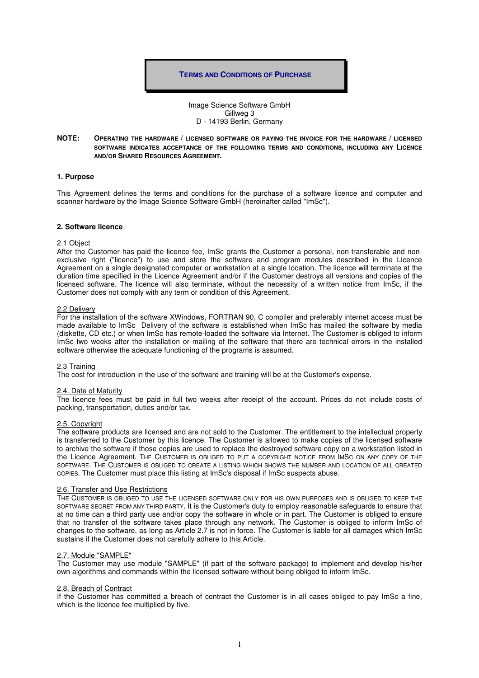## **TERMS AND CONDITIONS OF PURCHASE**

Image Science Software GmbH Gillweg 3 D - 14193 Berlin, Germany

## **NOTE: OPERATING THE HARDWARE / LICENSED SOFTWARE OR PAYING THE INVOICE FOR THE HARDWARE / LICENSED SOFTWARE INDICATES ACCEPTANCE OF THE FOLLOWING TERMS AND CONDITIONS, INCLUDING ANY LICENCE AND/OR SHARED RESOURCES AGREEMENT.**

## **1. Purpose**

This Agreement defines the terms and conditions for the purchase of a software licence and computer and scanner hardware by the Image Science Software GmbH (hereinafter called "ImSc").

## **2. Software licence**

### 2.1 Object

After the Customer has paid the licence fee, ImSc grants the Customer a personal, non-transferable and nonexclusive right ("licence") to use and store the software and program modules described in the Licence Agreement on a single designated computer or workstation at a single location. The licence will terminate at the duration time specified in the Licence Agreement and/or if the Customer destroys all versions and copies of the licensed software. The licence will also terminate, without the necessity of a written notice from ImSc, if the Customer does not comply with any term or condition of this Agreement.

### 2.2 Delivery

For the installation of the software XWindows, FORTRAN 90, C compiler and preferably internet access must be made available to ImSc Delivery of the software is established when ImSc has mailed the software by media (diskette, CD etc.) or when ImSc has remote-loaded the software via Internet. The Customer is obliged to inform ImSc two weeks after the installation or mailing of the software that there are technical errors in the installed software otherwise the adequate functioning of the programs is assumed.

### 2.3 Training

The cost for introduction in the use of the software and training will be at the Customer's expense.

#### 2.4. Date of Maturity

The licence fees must be paid in full two weeks after receipt of the account. Prices do not include costs of packing, transportation, duties and/or tax.

## 2.5. Copyright

The software products are licensed and are not sold to the Customer. The entitlement to the intellectual property is transferred to the Customer by this licence. The Customer is allowed to make copies of the licensed software to archive the software if those copies are used to replace the destroyed software copy on a workstation listed in the Licence Agreement. THE CUSTOMER IS OBLIGED TO PUT A COPYRIGHT NOTICE FROM IMSC ON ANY COPY OF THE SOFTWARE. THE CUSTOMER IS OBLIGED TO CREATE A LISTING WHICH SHOWS THE NUMBER AND LOCATION OF ALL CREATED COPIES. The Customer must place this listing at ImSc's disposal if ImSc suspects abuse.

#### 2.6. Transfer and Use Restrictions

THE CUSTOMER IS OBLIGED TO USE THE LICENSED SOFTWARE ONLY FOR HIS OWN PURPOSES AND IS OBLIGED TO KEEP THE SOFTWARE SECRET FROM ANY THIRD PARTY. It is the Customer's duty to employ reasonable safeguards to ensure that at no time can a third party use and/or copy the software in whole or in part. The Customer is obliged to ensure that no transfer of the software takes place through any network. The Customer is obliged to inform ImSc of changes to the software, as long as Article 2.7 is not in force. The Customer is liable for all damages which ImSc sustains if the Customer does not carefully adhere to this Article.

#### 2.7. Module "SAMPLE"

The Customer may use module "SAMPLE" (if part of the software package) to implement and develop his/her own algorithms and commands within the licensed software without being obliged to inform ImSc.

#### 2.8. Breach of Contract

If the Customer has committed a breach of contract the Customer is in all cases obliged to pay ImSc a fine, which is the licence fee multiplied by five.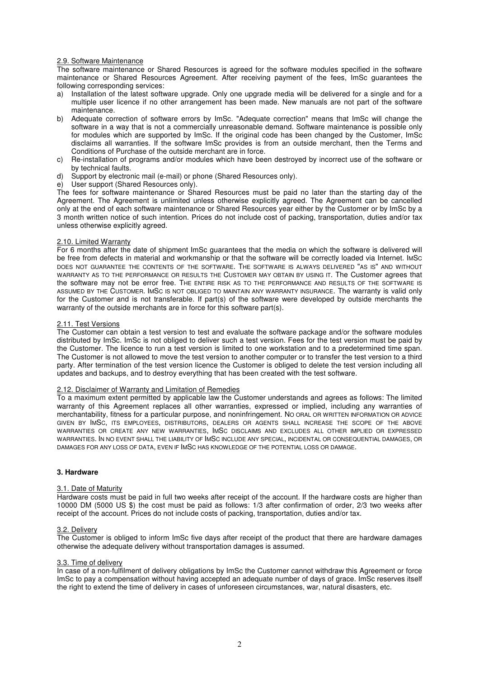# 2.9. Software Maintenance

The software maintenance or Shared Resources is agreed for the software modules specified in the software maintenance or Shared Resources Agreement. After receiving payment of the fees, ImSc guarantees the following corresponding services:

- a) Installation of the latest software upgrade. Only one upgrade media will be delivered for a single and for a multiple user licence if no other arrangement has been made. New manuals are not part of the software maintenance.
- b) Adequate correction of software errors by ImSc. "Adequate correction" means that ImSc will change the software in a way that is not a commercially unreasonable demand. Software maintenance is possible only for modules which are supported by ImSc. If the original code has been changed by the Customer, ImSc disclaims all warranties. If the software ImSc provides is from an outside merchant, then the Terms and Conditions of Purchase of the outside merchant are in force.
- c) Re-installation of programs and/or modules which have been destroyed by incorrect use of the software or by technical faults.
- d) Support by electronic mail (e-mail) or phone (Shared Resources only).
- e) User support (Shared Resources only).

The fees for software maintenance or Shared Resources must be paid no later than the starting day of the Agreement. The Agreement is unlimited unless otherwise explicitly agreed. The Agreement can be cancelled only at the end of each software maintenance or Shared Resources year either by the Customer or by ImSc by a 3 month written notice of such intention. Prices do not include cost of packing, transportation, duties and/or tax unless otherwise explicitly agreed.

# 2.10. Limited Warranty

For 6 months after the date of shipment ImSc guarantees that the media on which the software is delivered will be free from defects in material and workmanship or that the software will be correctly loaded via Internet. IMSC DOES NOT GUARANTEE THE CONTENTS OF THE SOFTWARE. THE SOFTWARE IS ALWAYS DELIVERED "AS IS" AND WITHOUT WARRANTY AS TO THE PERFORMANCE OR RESULTS THE CUSTOMER MAY OBTAIN BY USING IT. The Customer agrees that the software may not be error free. THE ENTIRE RISK AS TO THE PERFORMANCE AND RESULTS OF THE SOFTWARE IS ASSUMED BY THE CUSTOMER. IMSC IS NOT OBLIGED TO MAINTAIN ANY WARRANTY INSURANCE. The warranty is valid only for the Customer and is not transferable. If part(s) of the software were developed by outside merchants the warranty of the outside merchants are in force for this software part(s).

## 2.11. Test Versions

The Customer can obtain a test version to test and evaluate the software package and/or the software modules distributed by ImSc. ImSc is not obliged to deliver such a test version. Fees for the test version must be paid by the Customer. The licence to run a test version is limited to one workstation and to a predetermined time span. The Customer is not allowed to move the test version to another computer or to transfer the test version to a third party. After termination of the test version licence the Customer is obliged to delete the test version including all updates and backups, and to destroy everything that has been created with the test software.

# 2.12. Disclaimer of Warranty and Limitation of Remedies

To a maximum extent permitted by applicable law the Customer understands and agrees as follows: The limited warranty of this Agreement replaces all other warranties, expressed or implied, including any warranties of merchantability, fitness for a particular purpose, and noninfringement. NO ORAL OR WRITTEN INFORMATION OR ADVICE GIVEN BY IMSC, ITS EMPLOYEES, DISTRIBUTORS, DEALERS OR AGENTS SHALL INCREASE THE SCOPE OF THE ABOVE WARRANTIES OR CREATE ANY NEW WARRANTIES, IMSC DISCLAIMS AND EXCLUDES ALL OTHER IMPLIED OR EXPRESSED WARRANTIES. IN NO EVENT SHALL THE LIABILITY OF IMSC INCLUDE ANY SPECIAL, INCIDENTAL OR CONSEQUENTIAL DAMAGES, OR DAMAGES FOR ANY LOSS OF DATA, EVEN IF IMSC HAS KNOWLEDGE OF THE POTENTIAL LOSS OR DAMAGE.

## **3. Hardware**

## 3.1. Date of Maturity

Hardware costs must be paid in full two weeks after receipt of the account. If the hardware costs are higher than 10000 DM (5000 US \$) the cost must be paid as follows: 1/3 after confirmation of order, 2/3 two weeks after receipt of the account. Prices do not include costs of packing, transportation, duties and/or tax.

# 3.2. Delivery

The Customer is obliged to inform ImSc five days after receipt of the product that there are hardware damages otherwise the adequate delivery without transportation damages is assumed.

## 3.3. Time of delivery

In case of a non-fulfilment of delivery obligations by ImSc the Customer cannot withdraw this Agreement or force ImSc to pay a compensation without having accepted an adequate number of days of grace. ImSc reserves itself the right to extend the time of delivery in cases of unforeseen circumstances, war, natural disasters, etc.